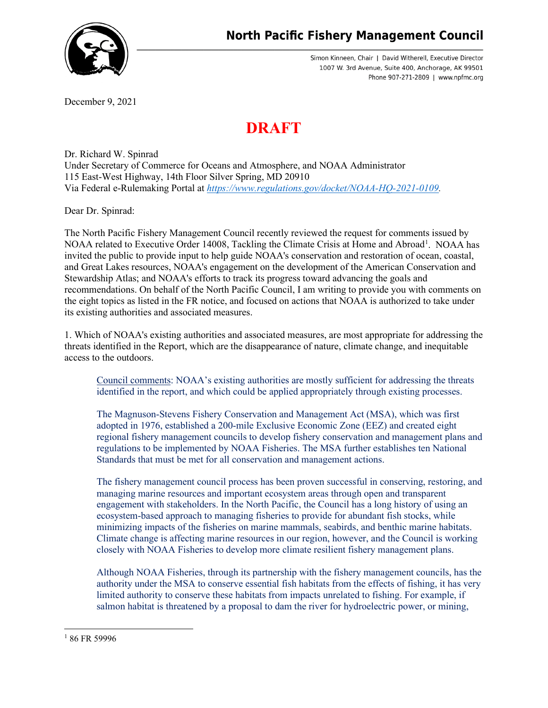

Simon Kinneen, Chair | David Witherell, Executive Director 1007 W. 3rd Avenue, Suite 400, Anchorage, AK 99501 Phone 907-271-2809 | www.npfmc.org

December 9, 2021

## **DRAFT**

Dr. Richard W. Spinrad Under Secretary of Commerce for Oceans and Atmosphere, and NOAA Administrator 115 East-West Highway, 14th Floor Silver Spring, MD 20910 Via Federal e-Rulemaking Portal at *[https://www.regulations.gov/docket/NOAA-HQ-2021-0109.](https://www.regulations.gov/docket/NOAA-HQ-2021-0109)*

Dear Dr. Spinrad:

The North Pacific Fishery Management Council recently reviewed the request for comments issued by NOAA related to Executive Order [1](#page-0-0)4008, Tackling the Climate Crisis at Home and Abroad<sup>1</sup>. NOAA has invited the public to provide input to help guide NOAA's conservation and restoration of ocean, coastal, and Great Lakes resources, NOAA's engagement on the development of the American Conservation and Stewardship Atlas; and NOAA's efforts to track its progress toward advancing the goals and recommendations. On behalf of the North Pacific Council, I am writing to provide you with comments on the eight topics as listed in the FR notice, and focused on actions that NOAA is authorized to take under its existing authorities and associated measures.

1. Which of NOAA's existing authorities and associated measures, are most appropriate for addressing the threats identified in the Report, which are the disappearance of nature, climate change, and inequitable access to the outdoors.

Council comments: NOAA's existing authorities are mostly sufficient for addressing the threats identified in the report, and which could be applied appropriately through existing processes.

The Magnuson-Stevens Fishery Conservation and Management Act (MSA), which was first adopted in 1976, established a 200-mile Exclusive Economic Zone (EEZ) and created eight regional fishery management councils to develop fishery conservation and management plans and regulations to be implemented by NOAA Fisheries. The MSA further establishes ten National Standards that must be met for all conservation and management actions.

The fishery management council process has been proven successful in conserving, restoring, and managing marine resources and important ecosystem areas through open and transparent engagement with stakeholders. In the North Pacific, the Council has a long history of using an ecosystem-based approach to managing fisheries to provide for abundant fish stocks, while minimizing impacts of the fisheries on marine mammals, seabirds, and benthic marine habitats. Climate change is affecting marine resources in our region, however, and the Council is working closely with NOAA Fisheries to develop more climate resilient fishery management plans.

Although NOAA Fisheries, through its partnership with the fishery management councils, has the authority under the MSA to conserve essential fish habitats from the effects of fishing, it has very limited authority to conserve these habitats from impacts unrelated to fishing. For example, if salmon habitat is threatened by a proposal to dam the river for hydroelectric power, or mining,

<span id="page-0-0"></span><sup>&</sup>lt;sup>1</sup> 86 FR 59996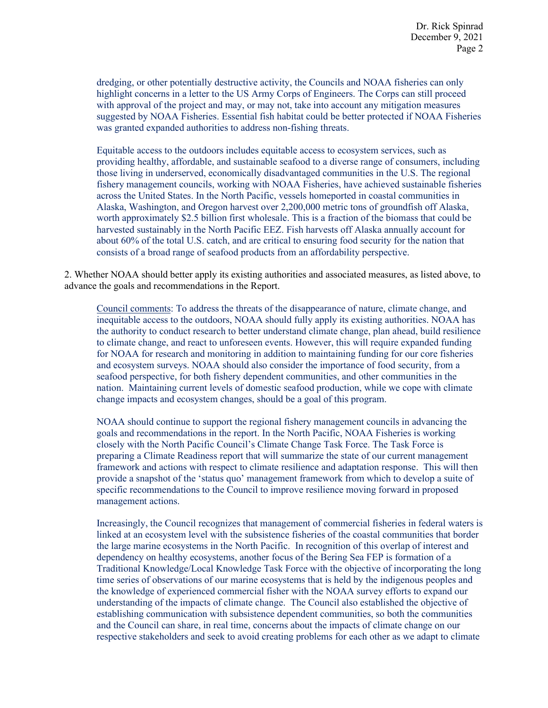dredging, or other potentially destructive activity, the Councils and NOAA fisheries can only highlight concerns in a letter to the US Army Corps of Engineers. The Corps can still proceed with approval of the project and may, or may not, take into account any mitigation measures suggested by NOAA Fisheries. Essential fish habitat could be better protected if NOAA Fisheries was granted expanded authorities to address non-fishing threats.

Equitable access to the outdoors includes equitable access to ecosystem services, such as providing healthy, affordable, and sustainable seafood to a diverse range of consumers, including those living in underserved, economically disadvantaged communities in the U.S. The regional fishery management councils, working with NOAA Fisheries, have achieved sustainable fisheries across the United States. In the North Pacific, vessels homeported in coastal communities in Alaska, Washington, and Oregon harvest over 2,200,000 metric tons of groundfish off Alaska, worth approximately \$2.5 billion first wholesale. This is a fraction of the biomass that could be harvested sustainably in the North Pacific EEZ. Fish harvests off Alaska annually account for about 60% of the total U.S. catch, and are critical to ensuring food security for the nation that consists of a broad range of seafood products from an affordability perspective.

2. Whether NOAA should better apply its existing authorities and associated measures, as listed above, to advance the goals and recommendations in the Report.

Council comments: To address the threats of the disappearance of nature, climate change, and inequitable access to the outdoors, NOAA should fully apply its existing authorities. NOAA has the authority to conduct research to better understand climate change, plan ahead, build resilience to climate change, and react to unforeseen events. However, this will require expanded funding for NOAA for research and monitoring in addition to maintaining funding for our core fisheries and ecosystem surveys. NOAA should also consider the importance of food security, from a seafood perspective, for both fishery dependent communities, and other communities in the nation. Maintaining current levels of domestic seafood production, while we cope with climate change impacts and ecosystem changes, should be a goal of this program.

NOAA should continue to support the regional fishery management councils in advancing the goals and recommendations in the report. In the North Pacific, NOAA Fisheries is working closely with the North Pacific Council's Climate Change Task Force. The Task Force is preparing a Climate Readiness report that will summarize the state of our current management framework and actions with respect to climate resilience and adaptation response. This will then provide a snapshot of the 'status quo' management framework from which to develop a suite of specific recommendations to the Council to improve resilience moving forward in proposed management actions.

Increasingly, the Council recognizes that management of commercial fisheries in federal waters is linked at an ecosystem level with the subsistence fisheries of the coastal communities that border the large marine ecosystems in the North Pacific. In recognition of this overlap of interest and dependency on healthy ecosystems, another focus of the Bering Sea FEP is formation of a Traditional Knowledge/Local Knowledge Task Force with the objective of incorporating the long time series of observations of our marine ecosystems that is held by the indigenous peoples and the knowledge of experienced commercial fisher with the NOAA survey efforts to expand our understanding of the impacts of climate change. The Council also established the objective of establishing communication with subsistence dependent communities, so both the communities and the Council can share, in real time, concerns about the impacts of climate change on our respective stakeholders and seek to avoid creating problems for each other as we adapt to climate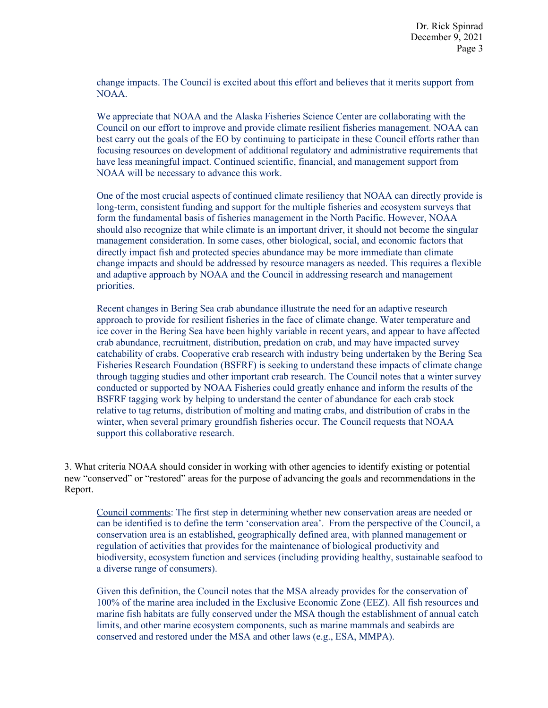change impacts. The Council is excited about this effort and believes that it merits support from NOAA.

We appreciate that NOAA and the Alaska Fisheries Science Center are collaborating with the Council on our effort to improve and provide climate resilient fisheries management. NOAA can best carry out the goals of the EO by continuing to participate in these Council efforts rather than focusing resources on development of additional regulatory and administrative requirements that have less meaningful impact. Continued scientific, financial, and management support from NOAA will be necessary to advance this work.

One of the most crucial aspects of continued climate resiliency that NOAA can directly provide is long-term, consistent funding and support for the multiple fisheries and ecosystem surveys that form the fundamental basis of fisheries management in the North Pacific. However, NOAA should also recognize that while climate is an important driver, it should not become the singular management consideration. In some cases, other biological, social, and economic factors that directly impact fish and protected species abundance may be more immediate than climate change impacts and should be addressed by resource managers as needed. This requires a flexible and adaptive approach by NOAA and the Council in addressing research and management priorities.

Recent changes in Bering Sea crab abundance illustrate the need for an adaptive research approach to provide for resilient fisheries in the face of climate change. Water temperature and ice cover in the Bering Sea have been highly variable in recent years, and appear to have affected crab abundance, recruitment, distribution, predation on crab, and may have impacted survey catchability of crabs. Cooperative crab research with industry being undertaken by the Bering Sea Fisheries Research Foundation (BSFRF) is seeking to understand these impacts of climate change through tagging studies and other important crab research. The Council notes that a winter survey conducted or supported by NOAA Fisheries could greatly enhance and inform the results of the BSFRF tagging work by helping to understand the center of abundance for each crab stock relative to tag returns, distribution of molting and mating crabs, and distribution of crabs in the winter, when several primary groundfish fisheries occur. The Council requests that NOAA support this collaborative research.

3. What criteria NOAA should consider in working with other agencies to identify existing or potential new "conserved" or "restored" areas for the purpose of advancing the goals and recommendations in the Report.

Council comments: The first step in determining whether new conservation areas are needed or can be identified is to define the term 'conservation area'. From the perspective of the Council, a conservation area is an established, geographically defined area, with planned management or regulation of activities that provides for the maintenance of biological productivity and biodiversity, ecosystem function and services (including providing healthy, sustainable seafood to a diverse range of consumers).

Given this definition, the Council notes that the MSA already provides for the conservation of 100% of the marine area included in the Exclusive Economic Zone (EEZ). All fish resources and marine fish habitats are fully conserved under the MSA though the establishment of annual catch limits, and other marine ecosystem components, such as marine mammals and seabirds are conserved and restored under the MSA and other laws (e.g., ESA, MMPA).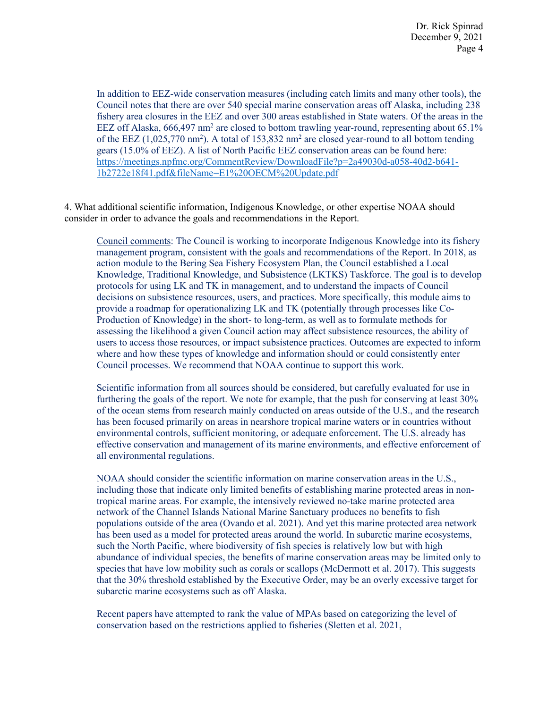In addition to EEZ-wide conservation measures (including catch limits and many other tools), the Council notes that there are over 540 special marine conservation areas off Alaska, including 238 fishery area closures in the EEZ and over 300 areas established in State waters. Of the areas in the EEZ off Alaska,  $666,497$  nm<sup>2</sup> are closed to bottom trawling year-round, representing about  $65.1\%$ of the EEZ  $(1,025,770 \text{ nm}^2)$ . A total of 153,832 nm<sup>2</sup> are closed year-round to all bottom tending gears (15.0% of EEZ). A list of North Pacific EEZ conservation areas can be found here: [https://meetings.npfmc.org/CommentReview/DownloadFile?p=2a49030d-a058-40d2-b641-](https://meetings.npfmc.org/CommentReview/DownloadFile?p=2a49030d-a058-40d2-b641-1b2722e18f41.pdf&fileName=E1%20OECM%20Update.pdf) [1b2722e18f41.pdf&fileName=E1%20OECM%20Update.pdf](https://meetings.npfmc.org/CommentReview/DownloadFile?p=2a49030d-a058-40d2-b641-1b2722e18f41.pdf&fileName=E1%20OECM%20Update.pdf)

4. What additional scientific information, Indigenous Knowledge, or other expertise NOAA should consider in order to advance the goals and recommendations in the Report.

Council comments: The Council is working to incorporate Indigenous Knowledge into its fishery management program, consistent with the goals and recommendations of the Report. In 2018, as action module to the Bering Sea Fishery Ecosystem Plan, the Council established a Local Knowledge, Traditional Knowledge, and Subsistence (LKTKS) Taskforce. The goal is to develop protocols for using LK and TK in management, and to understand the impacts of Council decisions on subsistence resources, users, and practices. More specifically, this module aims to provide a roadmap for operationalizing LK and TK (potentially through processes like Co-Production of Knowledge) in the short- to long-term, as well as to formulate methods for assessing the likelihood a given Council action may affect subsistence resources, the ability of users to access those resources, or impact subsistence practices. Outcomes are expected to inform where and how these types of knowledge and information should or could consistently enter Council processes. We recommend that NOAA continue to support this work.

Scientific information from all sources should be considered, but carefully evaluated for use in furthering the goals of the report. We note for example, that the push for conserving at least 30% of the ocean stems from research mainly conducted on areas outside of the U.S., and the research has been focused primarily on areas in nearshore tropical marine waters or in countries without environmental controls, sufficient monitoring, or adequate enforcement. The U.S. already has effective conservation and management of its marine environments, and effective enforcement of all environmental regulations.

NOAA should consider the scientific information on marine conservation areas in the U.S., including those that indicate only limited benefits of establishing marine protected areas in nontropical marine areas. For example, the intensively reviewed no-take marine protected area network of the Channel Islands National Marine Sanctuary produces no benefits to fish populations outside of the area (Ovando et al. 2021). And yet this marine protected area network has been used as a model for protected areas around the world. In subarctic marine ecosystems, such the North Pacific, where biodiversity of fish species is relatively low but with high abundance of individual species, the benefits of marine conservation areas may be limited only to species that have low mobility such as corals or scallops (McDermott et al. 2017). This suggests that the 30% threshold established by the Executive Order, may be an overly excessive target for subarctic marine ecosystems such as off Alaska.

Recent papers have attempted to rank the value of MPAs based on categorizing the level of conservation based on the restrictions applied to fisheries (Sletten et al. 2021,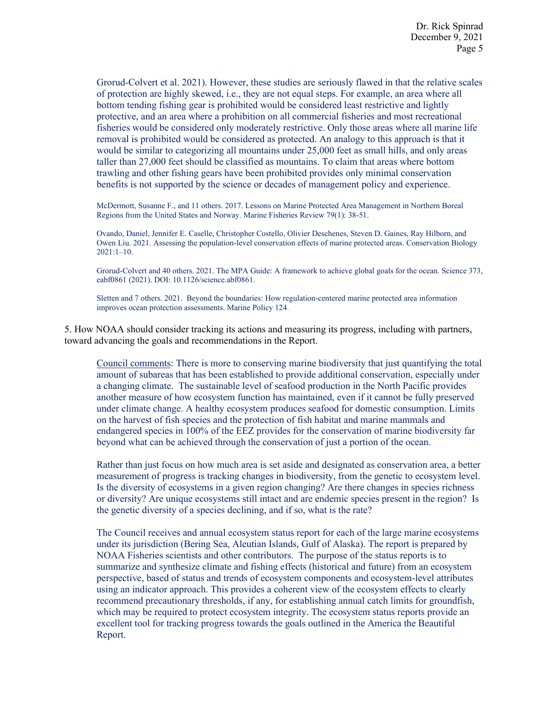Grorud-Colvert et al. 2021). However, these studies are seriously flawed in that the relative scales of protection are highly skewed, i.e., they are not equal steps. For example, an area where all bottom tending fishing gear is prohibited would be considered least restrictive and lightly protective, and an area where a prohibition on all commercial fisheries and most recreational fisheries would be considered only moderately restrictive. Only those areas where all marine life removal is prohibited would be considered as protected. An analogy to this approach is that it would be similar to categorizing all mountains under 25,000 feet as small hills, and only areas taller than 27,000 feet should be classified as mountains. To claim that areas where bottom trawling and other fishing gears have been prohibited provides only minimal conservation benefits is not supported by the science or decades of management policy and experience.

McDermott, Susanne F., and 11 others. 2017. Lessons on Marine Protected Area Management in Northern Boreal Regions from the United States and Norway. Marine Fisheries Review 79(1): 38-51.

Ovando, Daniel, Jennifer E. Caselle, Christopher Costello, Olivier Deschenes, Steven D. Gaines, Ray Hilborn, and Owen Liu. 2021. Assessing the population-level conservation effects of marine protected areas. Conservation Biology 2021:1–10.

Grorud-Colvert and 40 others. 2021. The MPA Guide: A framework to achieve global goals for the ocean. Science 373, eabf0861 (2021). DOI: 10.1126/science.abf0861.

Sletten and 7 others. 2021. Beyond the boundaries: How regulation-centered marine protected area information improves ocean protection assessments. Marine Policy 124.

5. How NOAA should consider tracking its actions and measuring its progress, including with partners, toward advancing the goals and recommendations in the Report.

Council comments: There is more to conserving marine biodiversity that just quantifying the total amount of subareas that has been established to provide additional conservation, especially under a changing climate. The sustainable level of seafood production in the North Pacific provides another measure of how ecosystem function has maintained, even if it cannot be fully preserved under climate change. A healthy ecosystem produces seafood for domestic consumption. Limits on the harvest of fish species and the protection of fish habitat and marine mammals and endangered species in 100% of the EEZ provides for the conservation of marine biodiversity far beyond what can be achieved through the conservation of just a portion of the ocean.

Rather than just focus on how much area is set aside and designated as conservation area, a better measurement of progress is tracking changes in biodiversity, from the genetic to ecosystem level. Is the diversity of ecosystems in a given region changing? Are there changes in species richness or diversity? Are unique ecosystems still intact and are endemic species present in the region? Is the genetic diversity of a species declining, and if so, what is the rate?

The Council receives and annual ecosystem status report for each of the large marine ecosystems under its jurisdiction (Bering Sea, Aleutian Islands, Gulf of Alaska). The report is prepared by NOAA Fisheries scientists and other contributors. The purpose of the status reports is to summarize and synthesize climate and fishing effects (historical and future) from an ecosystem perspective, based of status and trends of ecosystem components and ecosystem-level attributes using an indicator approach. This provides a coherent view of the ecosystem effects to clearly recommend precautionary thresholds, if any, for establishing annual catch limits for groundfish, which may be required to protect ecosystem integrity. The ecosystem status reports provide an excellent tool for tracking progress towards the goals outlined in the America the Beautiful Report.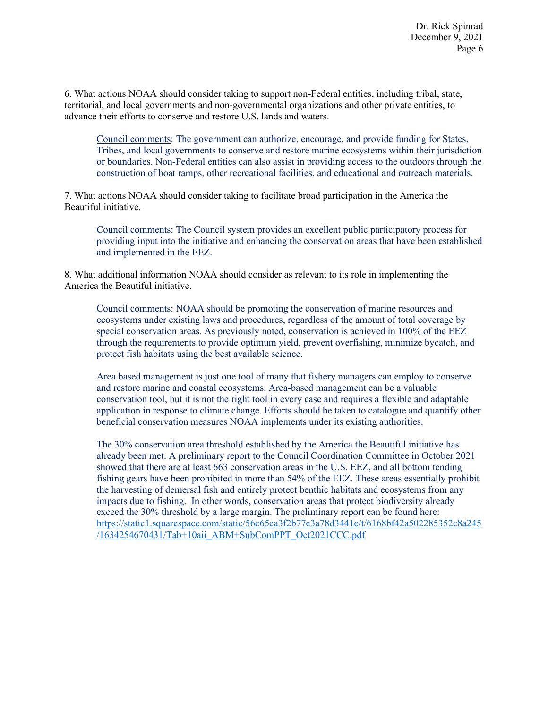6. What actions NOAA should consider taking to support non-Federal entities, including tribal, state, territorial, and local governments and non-governmental organizations and other private entities, to advance their efforts to conserve and restore U.S. lands and waters.

Council comments: The government can authorize, encourage, and provide funding for States, Tribes, and local governments to conserve and restore marine ecosystems within their jurisdiction or boundaries. Non-Federal entities can also assist in providing access to the outdoors through the construction of boat ramps, other recreational facilities, and educational and outreach materials.

7. What actions NOAA should consider taking to facilitate broad participation in the America the Beautiful initiative.

Council comments: The Council system provides an excellent public participatory process for providing input into the initiative and enhancing the conservation areas that have been established and implemented in the EEZ.

8. What additional information NOAA should consider as relevant to its role in implementing the America the Beautiful initiative.

Council comments: NOAA should be promoting the conservation of marine resources and ecosystems under existing laws and procedures, regardless of the amount of total coverage by special conservation areas. As previously noted, conservation is achieved in 100% of the EEZ through the requirements to provide optimum yield, prevent overfishing, minimize bycatch, and protect fish habitats using the best available science.

Area based management is just one tool of many that fishery managers can employ to conserve and restore marine and coastal ecosystems. Area-based management can be a valuable conservation tool, but it is not the right tool in every case and requires a flexible and adaptable application in response to climate change. Efforts should be taken to catalogue and quantify other beneficial conservation measures NOAA implements under its existing authorities.

The 30% conservation area threshold established by the America the Beautiful initiative has already been met. A preliminary report to the Council Coordination Committee in October 2021 showed that there are at least 663 conservation areas in the U.S. EEZ, and all bottom tending fishing gears have been prohibited in more than 54% of the EEZ. These areas essentially prohibit the harvesting of demersal fish and entirely protect benthic habitats and ecosystems from any impacts due to fishing. In other words, conservation areas that protect biodiversity already exceed the 30% threshold by a large margin. The preliminary report can be found here: [https://static1.squarespace.com/static/56c65ea3f2b77e3a78d3441e/t/6168bf42a502285352c8a245](https://static1.squarespace.com/static/56c65ea3f2b77e3a78d3441e/t/6168bf42a502285352c8a245/1634254670431/Tab+10aii_ABM+SubComPPT_Oct2021CCC.pdf) [/1634254670431/Tab+10aii\\_ABM+SubComPPT\\_Oct2021CCC.pdf](https://static1.squarespace.com/static/56c65ea3f2b77e3a78d3441e/t/6168bf42a502285352c8a245/1634254670431/Tab+10aii_ABM+SubComPPT_Oct2021CCC.pdf)